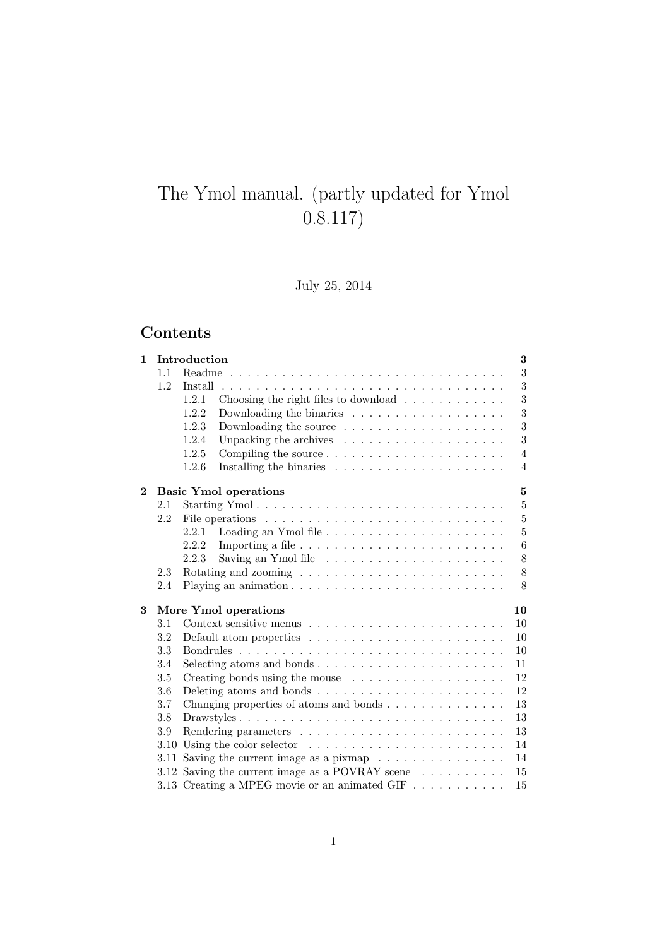# The Ymol manual. (partly updated for Ymol 0.8.117)

July 25, 2014

# Contents

| $\mathbf{1}$ |     | Introduction                                                                       | 3               |
|--------------|-----|------------------------------------------------------------------------------------|-----------------|
|              | 1.1 |                                                                                    | 3               |
|              | 1.2 | Install                                                                            | 3               |
|              |     | 1.2.1<br>Choosing the right files to download $\ldots \ldots \ldots \ldots$        | $\sqrt{3}$      |
|              |     | 1.2.2<br>Downloading the binaries $\ldots \ldots \ldots \ldots \ldots \ldots$      | 3               |
|              |     | 1.2.3                                                                              | 3               |
|              |     | 1.2.4<br>Unpacking the archives $\ldots \ldots \ldots \ldots \ldots \ldots$        | 3               |
|              |     | 1.2.5                                                                              | $\overline{4}$  |
|              |     | 1.2.6                                                                              | 4               |
| $\mathbf{2}$ |     | <b>Basic Ymol operations</b>                                                       | 5               |
|              | 2.1 |                                                                                    | $\bf 5$         |
|              | 2.2 |                                                                                    | $\overline{5}$  |
|              |     | Loading an Ymol file $\ldots \ldots \ldots \ldots \ldots \ldots \ldots$<br>2.2.1   | $\overline{5}$  |
|              |     | 2.2.2                                                                              | $6\phantom{.}6$ |
|              |     | 2.2.3                                                                              | 8               |
|              | 2.3 |                                                                                    | 8               |
|              | 2.4 |                                                                                    | 8               |
| 3            |     | More Ymol operations                                                               | 10              |
|              | 3.1 | Context sensitive menus $\dots \dots \dots \dots \dots \dots \dots \dots \dots$    | 10              |
|              | 3.2 | Default atom properties $\dots \dots \dots \dots \dots \dots \dots \dots$          | 10              |
|              | 3.3 |                                                                                    | 10              |
|              | 3.4 |                                                                                    | 11              |
|              | 3.5 | Creating bonds using the mouse                                                     | 12              |
|              | 3.6 | Deleting atoms and bonds $\ldots \ldots \ldots \ldots \ldots \ldots \ldots \ldots$ | 12              |
|              | 3.7 | Changing properties of atoms and bonds                                             | 13              |
|              | 3.8 |                                                                                    | 13              |
|              | 3.9 |                                                                                    | 13              |
|              |     | 3.10 Using the color selector $\ldots \ldots \ldots \ldots \ldots \ldots \ldots$   | 14              |
|              |     | 3.11 Saving the current image as a pixmap $\ldots \ldots \ldots \ldots \ldots$     | 14              |
|              |     | 3.12 Saving the current image as a POVRAY scene $\ldots \ldots \ldots$             | 15              |
|              |     | 3.13 Creating a MPEG movie or an animated GIF $\dots \dots \dots$                  | 15              |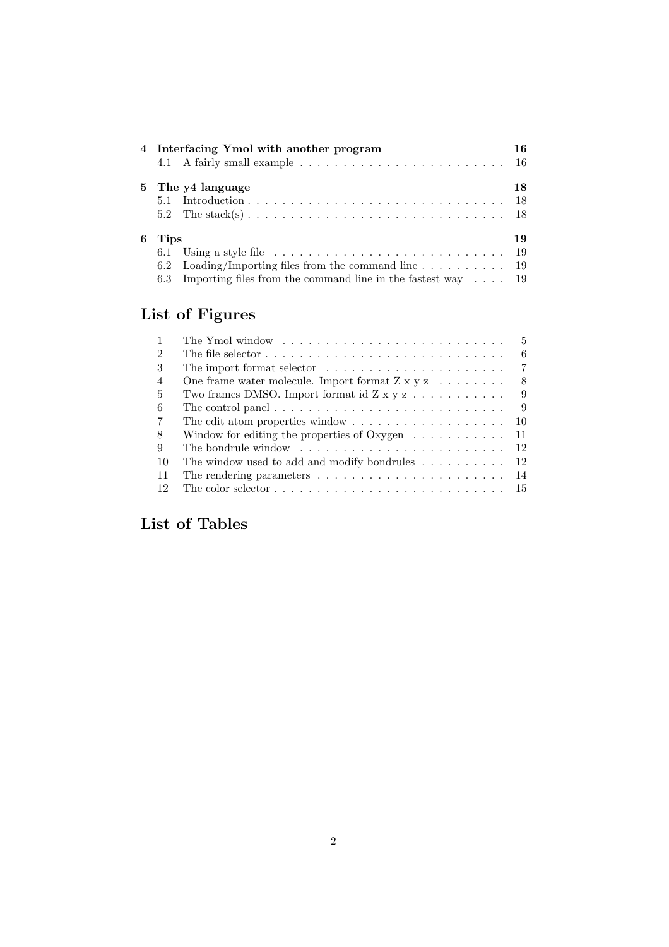|   |             | 4 Interfacing Ymol with another program                                                           | 16 |
|---|-------------|---------------------------------------------------------------------------------------------------|----|
|   |             | 5 The y4 language                                                                                 | 18 |
|   |             |                                                                                                   |    |
|   |             |                                                                                                   |    |
| 6 | <b>Tips</b> |                                                                                                   | 19 |
|   |             | 6.1 Using a style file $\ldots \ldots \ldots \ldots \ldots \ldots \ldots \ldots \ldots \ldots 19$ |    |
|   |             | 6.2 Loading/Importing files from the command line $\dots \dots \dots$ 19                          |    |
|   |             | 6.3 Importing files from the command line in the fastest way $\dots$ 19                           |    |

# List of Figures

|                | .5<br>The Ymol window $\ldots$ , $\ldots$ , $\ldots$ , $\ldots$ , $\ldots$ , $\ldots$ , $\ldots$ , $\ldots$              |
|----------------|--------------------------------------------------------------------------------------------------------------------------|
| $\mathfrak{D}$ | The file selector $\ldots$ , $\ldots$ , $\ldots$ , $\ldots$ , $\ldots$ , $\ldots$ , $\ldots$ , $\ldots$ , $\ldots$<br>-6 |
| 3              | -7                                                                                                                       |
| $\overline{4}$ | One frame water molecule. Import format $Z \times y \times \ldots \ldots$<br>-8                                          |
| 5              | Two frames DMSO. Import format id $Z \times y \times \ldots \times \ldots$<br>-9                                         |
| 6              | The control panel $\ldots \ldots \ldots \ldots \ldots \ldots \ldots \ldots \ldots$<br>-9                                 |
| 7              | The edit atom properties window $\dots \dots \dots \dots \dots \dots$<br>-10                                             |
| 8              | Window for editing the properties of Oxygen $\dots \dots \dots$<br>-11                                                   |
| 9              | The bondrule window $\ldots \ldots \ldots \ldots \ldots \ldots \ldots \ldots$<br>-12                                     |
| 10             | The window used to add and modify bondrules $\ldots \ldots \ldots 12$                                                    |
| -11            | The rendering parameters $\dots \dots \dots \dots \dots \dots \dots \dots \dots \dots \dots 14$                          |
| 12             |                                                                                                                          |

List of Tables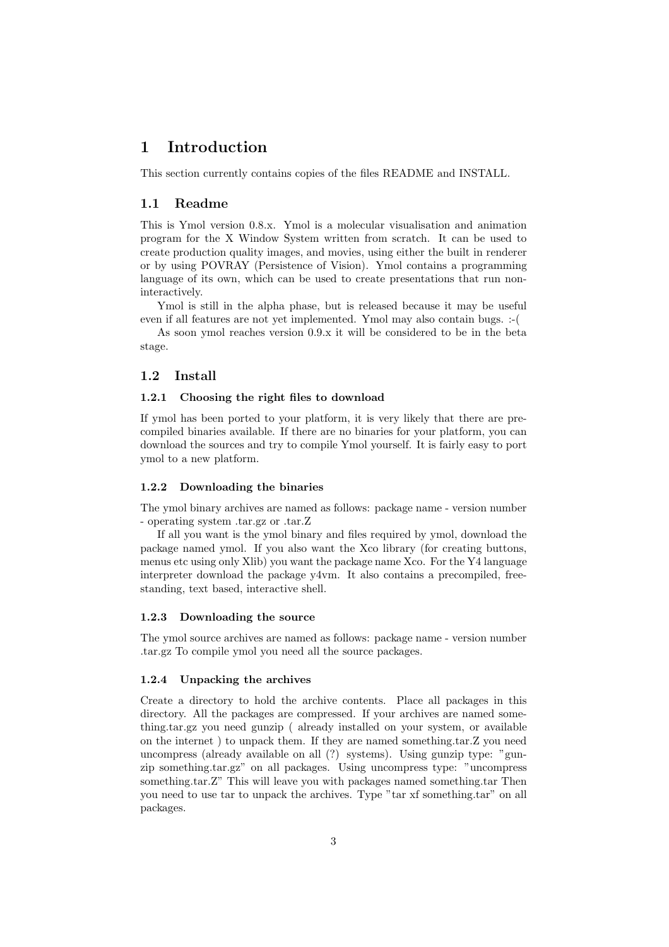# 1 Introduction

This section currently contains copies of the files README and INSTALL.

#### 1.1 Readme

This is Ymol version 0.8.x. Ymol is a molecular visualisation and animation program for the X Window System written from scratch. It can be used to create production quality images, and movies, using either the built in renderer or by using POVRAY (Persistence of Vision). Ymol contains a programming language of its own, which can be used to create presentations that run noninteractively.

Ymol is still in the alpha phase, but is released because it may be useful even if all features are not yet implemented. Ymol may also contain bugs. :-(

As soon ymol reaches version 0.9.x it will be considered to be in the beta stage.

#### 1.2 Install

#### 1.2.1 Choosing the right files to download

If ymol has been ported to your platform, it is very likely that there are precompiled binaries available. If there are no binaries for your platform, you can download the sources and try to compile Ymol yourself. It is fairly easy to port ymol to a new platform.

#### 1.2.2 Downloading the binaries

The ymol binary archives are named as follows: package name - version number - operating system .tar.gz or .tar.Z

If all you want is the ymol binary and files required by ymol, download the package named ymol. If you also want the Xco library (for creating buttons, menus etc using only Xlib) you want the package name Xco. For the Y4 language interpreter download the package y4vm. It also contains a precompiled, freestanding, text based, interactive shell.

#### 1.2.3 Downloading the source

The ymol source archives are named as follows: package name - version number .tar.gz To compile ymol you need all the source packages.

#### 1.2.4 Unpacking the archives

Create a directory to hold the archive contents. Place all packages in this directory. All the packages are compressed. If your archives are named something.tar.gz you need gunzip ( already installed on your system, or available on the internet ) to unpack them. If they are named something.tar.Z you need uncompress (already available on all (?) systems). Using gunzip type: "gunzip something.tar.gz" on all packages. Using uncompress type: "uncompress something.tar.Z" This will leave you with packages named something.tar Then you need to use tar to unpack the archives. Type "tar xf something.tar" on all packages.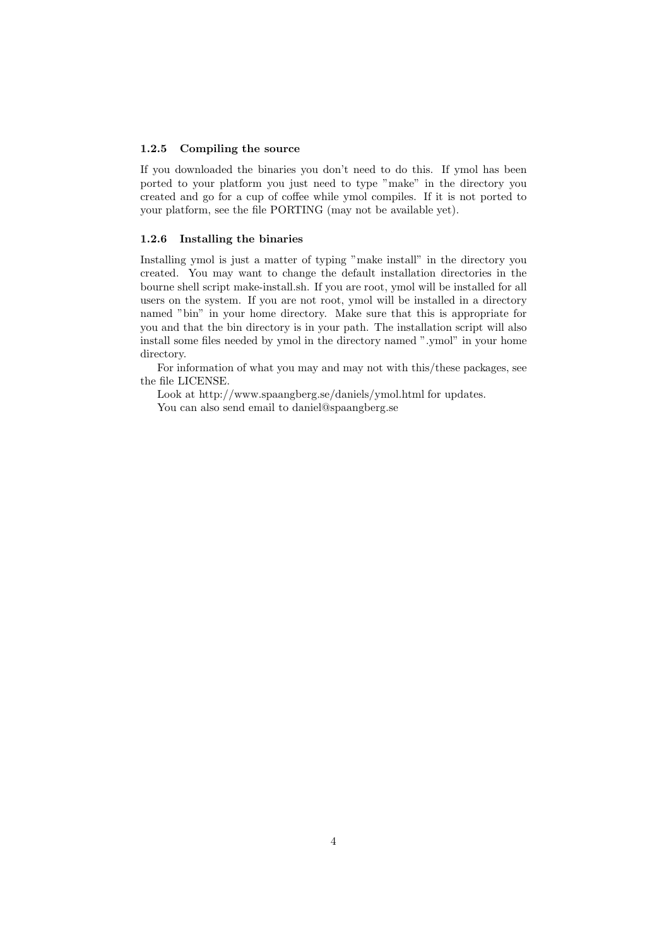#### 1.2.5 Compiling the source

If you downloaded the binaries you don't need to do this. If ymol has been ported to your platform you just need to type "make" in the directory you created and go for a cup of coffee while ymol compiles. If it is not ported to your platform, see the file PORTING (may not be available yet).

#### 1.2.6 Installing the binaries

Installing ymol is just a matter of typing "make install" in the directory you created. You may want to change the default installation directories in the bourne shell script make-install.sh. If you are root, ymol will be installed for all users on the system. If you are not root, ymol will be installed in a directory named "bin" in your home directory. Make sure that this is appropriate for you and that the bin directory is in your path. The installation script will also install some files needed by ymol in the directory named ".ymol" in your home directory.

For information of what you may and may not with this/these packages, see the file LICENSE.

Look at http://www.spaangberg.se/daniels/ymol.html for updates. You can also send email to daniel@spaangberg.se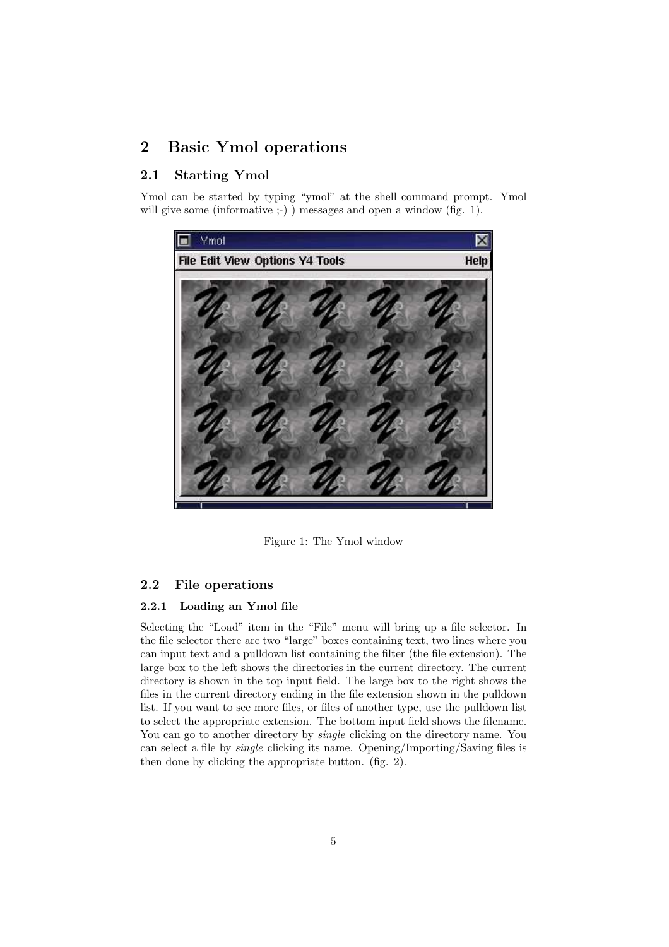# 2 Basic Ymol operations

# 2.1 Starting Ymol

Ymol can be started by typing "ymol" at the shell command prompt. Ymol will give some (informative :-) ) messages and open a window (fig. 1).



Figure 1: The Ymol window

## 2.2 File operations

#### 2.2.1 Loading an Ymol file

Selecting the "Load" item in the "File" menu will bring up a file selector. In the file selector there are two "large" boxes containing text, two lines where you can input text and a pulldown list containing the filter (the file extension). The large box to the left shows the directories in the current directory. The current directory is shown in the top input field. The large box to the right shows the files in the current directory ending in the file extension shown in the pulldown list. If you want to see more files, or files of another type, use the pulldown list to select the appropriate extension. The bottom input field shows the filename. You can go to another directory by *single* clicking on the directory name. You can select a file by single clicking its name. Opening/Importing/Saving files is then done by clicking the appropriate button. (fig. 2).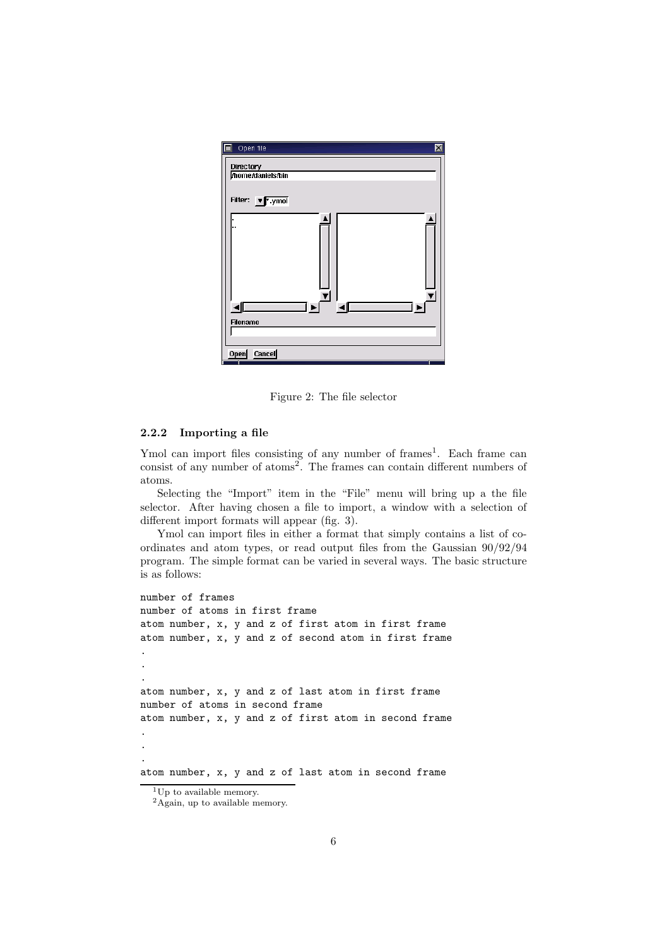

Figure 2: The file selector

#### 2.2.2 Importing a file

Ymol can import files consisting of any number of frames<sup>1</sup>. Each frame can consist of any number of atoms<sup>2</sup>. The frames can contain different numbers of atoms.

Selecting the "Import" item in the "File" menu will bring up a the file selector. After having chosen a file to import, a window with a selection of different import formats will appear (fig. 3).

Ymol can import files in either a format that simply contains a list of coordinates and atom types, or read output files from the Gaussian 90/92/94 program. The simple format can be varied in several ways. The basic structure is as follows:

```
number of frames
number of atoms in first frame
atom number, x, y and z of first atom in first frame
atom number, x, y and z of second atom in first frame
.
.
.
atom number, x, y and z of last atom in first frame
number of atoms in second frame
atom number, x, y and z of first atom in second frame
.
.
.
atom number, x, y and z of last atom in second frame
```
 $1$ Up to available memory.

<sup>&</sup>lt;sup>2</sup>Again, up to available memory.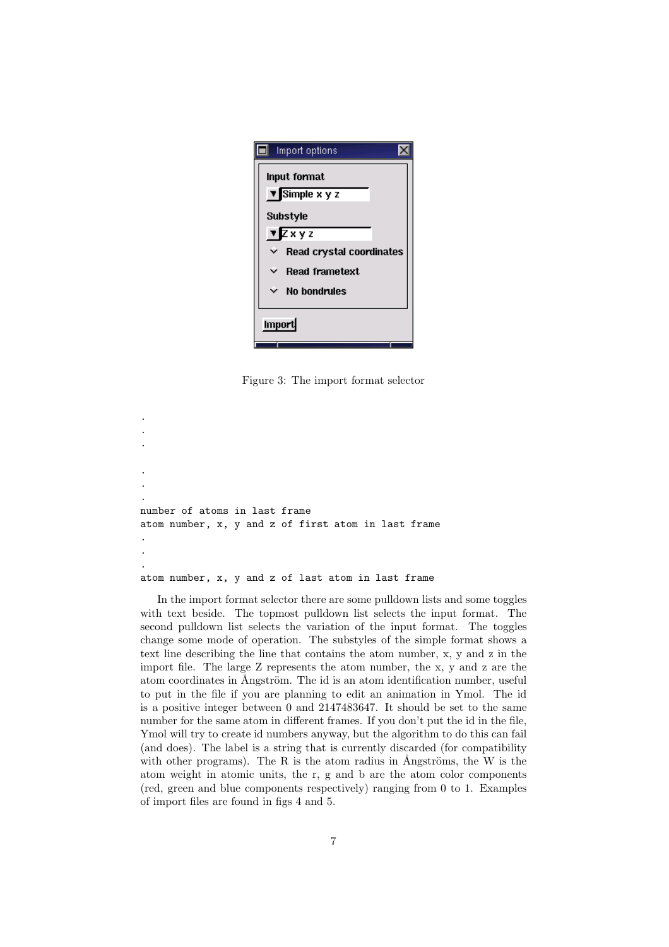| Import options                       |  |                                 |
|--------------------------------------|--|---------------------------------|
| Input format                         |  |                                 |
| $\overline{\mathbf{v}}$ Simple x y z |  |                                 |
| <b>Substyle</b><br>$\sqrt{2xyz}$     |  |                                 |
|                                      |  | <b>Read crystal coordinates</b> |
| <b>Read frametext</b>                |  |                                 |
| $\times$ No bondrules                |  |                                 |
| Import                               |  |                                 |

Figure 3: The import format selector

. . . . number of atoms in last frame atom number, x, y and z of first atom in last frame . . .

. .

#### atom number, x, y and z of last atom in last frame

In the import format selector there are some pulldown lists and some toggles with text beside. The topmost pulldown list selects the input format. The second pulldown list selects the variation of the input format. The toggles change some mode of operation. The substyles of the simple format shows a text line describing the line that contains the atom number, x, y and z in the import file. The large Z represents the atom number, the x, y and z are the atom coordinates in Ångström. The id is an atom identification number, useful to put in the file if you are planning to edit an animation in Ymol. The id is a positive integer between 0 and 2147483647. It should be set to the same number for the same atom in different frames. If you don't put the id in the file, Ymol will try to create id numbers anyway, but the algorithm to do this can fail (and does). The label is a string that is currently discarded (for compatibility with other programs). The R is the atom radius in Ångströms, the W is the atom weight in atomic units, the r, g and b are the atom color components (red, green and blue components respectively) ranging from 0 to 1. Examples of import files are found in figs 4 and 5.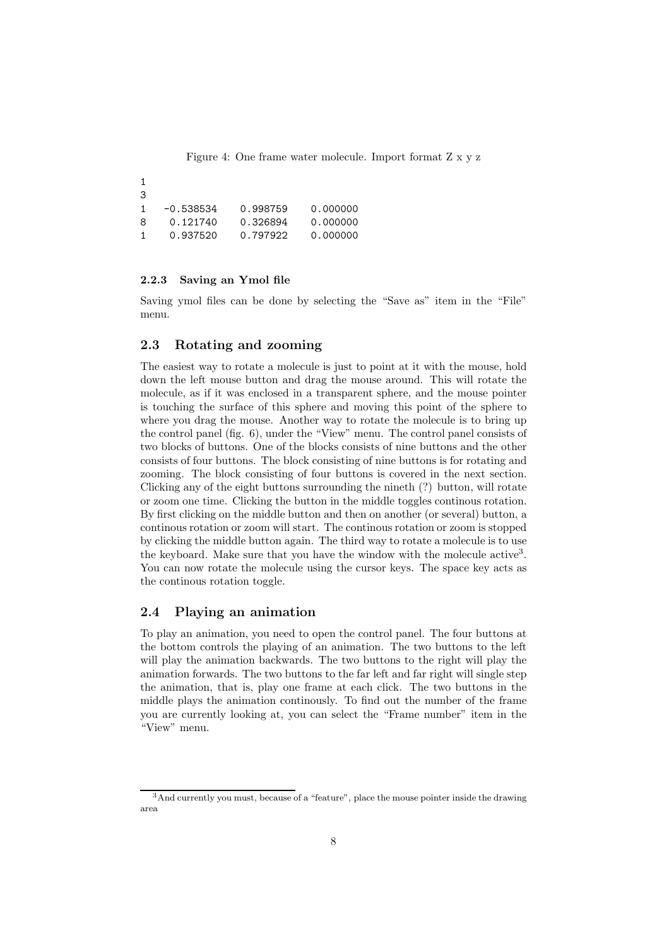Figure 4: One frame water molecule. Import format Z x y z

1 3 1 -0.538534 0.998759 0.000000 8 0.121740 0.326894 0.000000 1 0.937520 0.797922 0.000000

#### 2.2.3 Saving an Ymol file

Saving ymol files can be done by selecting the "Save as" item in the "File" menu.

#### 2.3 Rotating and zooming

The easiest way to rotate a molecule is just to point at it with the mouse, hold down the left mouse button and drag the mouse around. This will rotate the molecule, as if it was enclosed in a transparent sphere, and the mouse pointer is touching the surface of this sphere and moving this point of the sphere to where you drag the mouse. Another way to rotate the molecule is to bring up the control panel (fig. 6), under the "View" menu. The control panel consists of two blocks of buttons. One of the blocks consists of nine buttons and the other consists of four buttons. The block consisting of nine buttons is for rotating and zooming. The block consisting of four buttons is covered in the next section. Clicking any of the eight buttons surrounding the nineth (?) button, will rotate or zoom one time. Clicking the button in the middle toggles continous rotation. By first clicking on the middle button and then on another (or several) button, a continous rotation or zoom will start. The continous rotation or zoom is stopped by clicking the middle button again. The third way to rotate a molecule is to use the keyboard. Make sure that you have the window with the molecule active<sup>3</sup>. You can now rotate the molecule using the cursor keys. The space key acts as the continous rotation toggle.

#### 2.4 Playing an animation

To play an animation, you need to open the control panel. The four buttons at the bottom controls the playing of an animation. The two buttons to the left will play the animation backwards. The two buttons to the right will play the animation forwards. The two buttons to the far left and far right will single step the animation, that is, play one frame at each click. The two buttons in the middle plays the animation continously. To find out the number of the frame you are currently looking at, you can select the "Frame number" item in the "View" menu.

<sup>3</sup>And currently you must, because of a "feature", place the mouse pointer inside the drawing area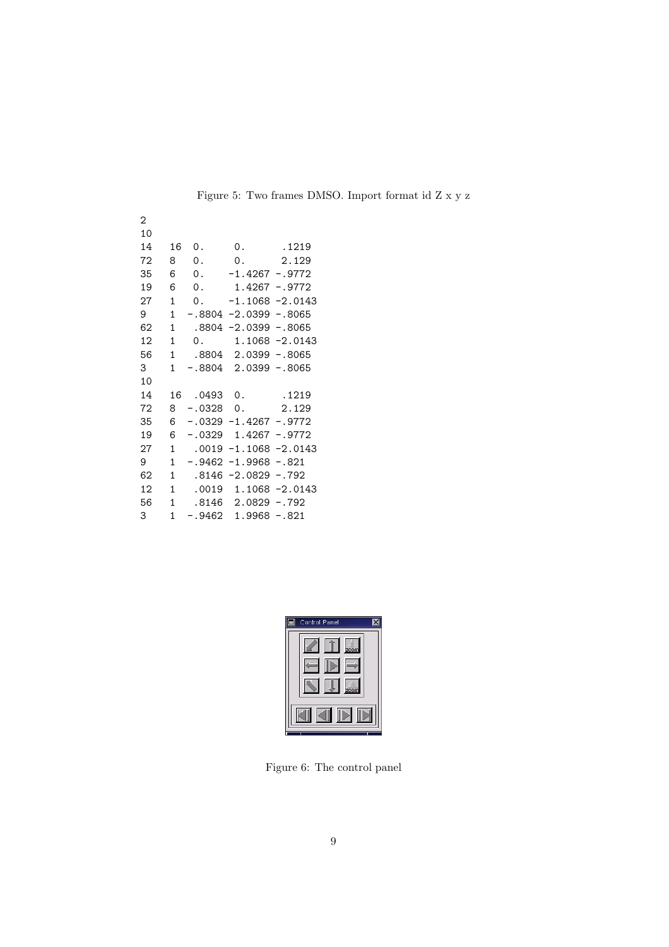| $\overline{2}$ |              |       |                                   |                    |
|----------------|--------------|-------|-----------------------------------|--------------------|
| 10             |              |       |                                   |                    |
| 14             | 16           | 0.    | 0.                                | .1219              |
| 72             | 8            | 0.    | $\mathsf{O}$ .                    | 2.129              |
| 35             | 6            | 0.    | $-1.4267 - .9772$                 |                    |
| 19             | 6            | 0.    | 1.4267 -.9772                     |                    |
| 27             | $\mathbf{1}$ |       | 0. $-1.1068 - 2.0143$             |                    |
| 9              | $\mathbf{1}$ |       | $-.8804 -2.0399 - .8065$          |                    |
| 62             | 1            |       | $.8804 - 2.0399 - .8065$          |                    |
| 12             | $\mathbf{1}$ |       | $0.1.1068 - 2.0143$               |                    |
| 56             | $\mathbf{1}$ |       | .8804 2.0399 -.8065               |                    |
| 3              | $\mathbf{1}$ |       | $-.8804$ 2.0399 $-.8065$          |                    |
| 10             |              |       |                                   |                    |
| 14             | 16           |       |                                   |                    |
| 72             | 8            |       | $-.0328$ 0. 2.129                 |                    |
| 35             | 6            |       | $-.0329 -1.4267 - .9772$          |                    |
| 19             | 6            |       | $-.0329$ 1.4267 -.9772            |                    |
| 27             | $\mathbf{1}$ | .0019 |                                   | $-1.1068 - 2.0143$ |
| 9              | $\mathbf{1}$ |       | $-.9462 -1.9968 -.821$            |                    |
| 62             | 1            |       | $.8146 - 2.0829 - .792$           |                    |
| 12             | $\mathbf{1}$ |       | $.0019$ 1.1068 -2.0143            |                    |
| 56             | 1            |       | .8146 2.0829 -.792                |                    |
| $3 -$          | $\mathbf{1}$ |       | $-.9462 \quad 1.9968 \quad -.821$ |                    |

Figure 5: Two frames DMSO. Import format id Z x y z

| Control Panel                        |
|--------------------------------------|
| 200 <sub>m</sub><br>200 <sub>m</sub> |
|                                      |

Figure 6: The control panel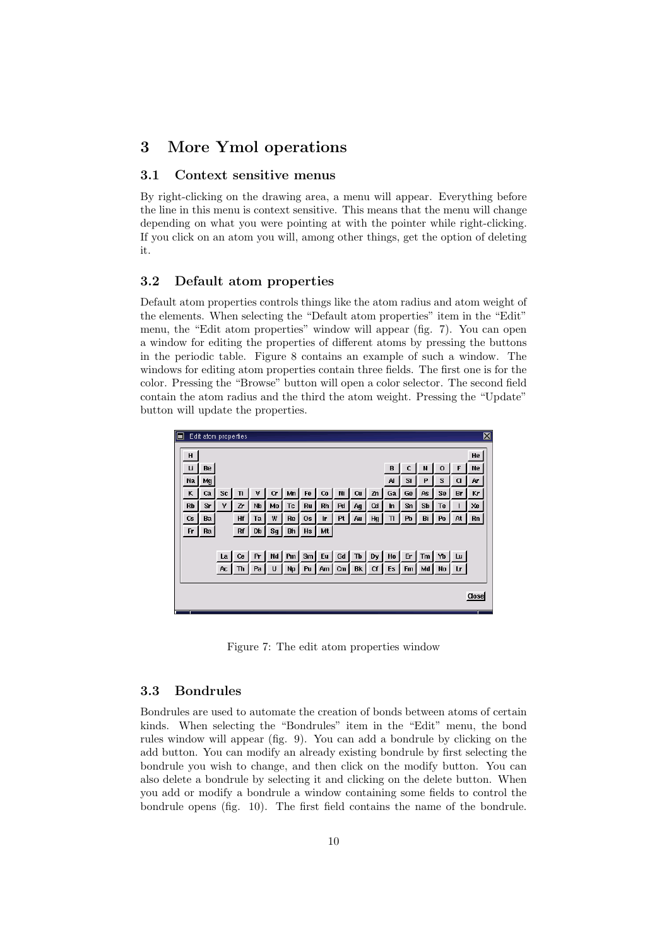# 3 More Ymol operations

#### 3.1 Context sensitive menus

By right-clicking on the drawing area, a menu will appear. Everything before the line in this menu is context sensitive. This means that the menu will change depending on what you were pointing at with the pointer while right-clicking. If you click on an atom you will, among other things, get the option of deleting it.

#### 3.2 Default atom properties

Default atom properties controls things like the atom radius and atom weight of the elements. When selecting the "Default atom properties" item in the "Edit" menu, the "Edit atom properties" window will appear (fig. 7). You can open a window for editing the properties of different atoms by pressing the buttons in the periodic table. Figure 8 contains an example of such a window. The windows for editing atom properties contain three fields. The first one is for the color. Pressing the "Browse" button will open a color selector. The second field contain the atom radius and the third the atom weight. Pressing the "Update" button will update the properties.



Figure 7: The edit atom properties window

#### 3.3 Bondrules

Bondrules are used to automate the creation of bonds between atoms of certain kinds. When selecting the "Bondrules" item in the "Edit" menu, the bond rules window will appear (fig. 9). You can add a bondrule by clicking on the add button. You can modify an already existing bondrule by first selecting the bondrule you wish to change, and then click on the modify button. You can also delete a bondrule by selecting it and clicking on the delete button. When you add or modify a bondrule a window containing some fields to control the bondrule opens (fig. 10). The first field contains the name of the bondrule.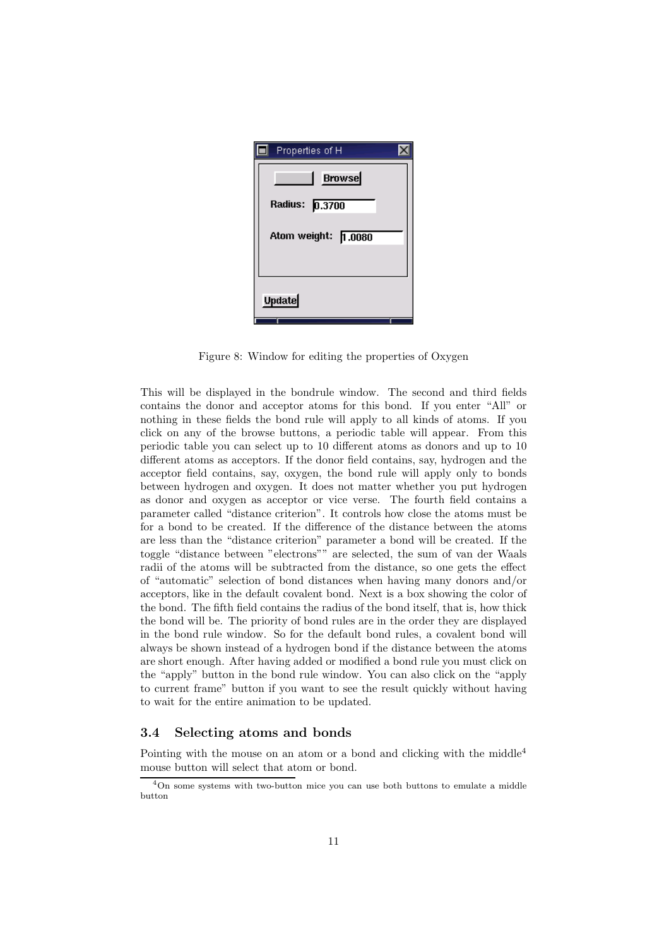

Figure 8: Window for editing the properties of Oxygen

This will be displayed in the bondrule window. The second and third fields contains the donor and acceptor atoms for this bond. If you enter "All" or nothing in these fields the bond rule will apply to all kinds of atoms. If you click on any of the browse buttons, a periodic table will appear. From this periodic table you can select up to 10 different atoms as donors and up to 10 different atoms as acceptors. If the donor field contains, say, hydrogen and the acceptor field contains, say, oxygen, the bond rule will apply only to bonds between hydrogen and oxygen. It does not matter whether you put hydrogen as donor and oxygen as acceptor or vice verse. The fourth field contains a parameter called "distance criterion". It controls how close the atoms must be for a bond to be created. If the difference of the distance between the atoms are less than the "distance criterion" parameter a bond will be created. If the toggle "distance between "electrons"" are selected, the sum of van der Waals radii of the atoms will be subtracted from the distance, so one gets the effect of "automatic" selection of bond distances when having many donors and/or acceptors, like in the default covalent bond. Next is a box showing the color of the bond. The fifth field contains the radius of the bond itself, that is, how thick the bond will be. The priority of bond rules are in the order they are displayed in the bond rule window. So for the default bond rules, a covalent bond will always be shown instead of a hydrogen bond if the distance between the atoms are short enough. After having added or modified a bond rule you must click on the "apply" button in the bond rule window. You can also click on the "apply to current frame" button if you want to see the result quickly without having to wait for the entire animation to be updated.

## 3.4 Selecting atoms and bonds

Pointing with the mouse on an atom or a bond and clicking with the middle<sup>4</sup> mouse button will select that atom or bond.

<sup>4</sup>On some systems with two-button mice you can use both buttons to emulate a middle button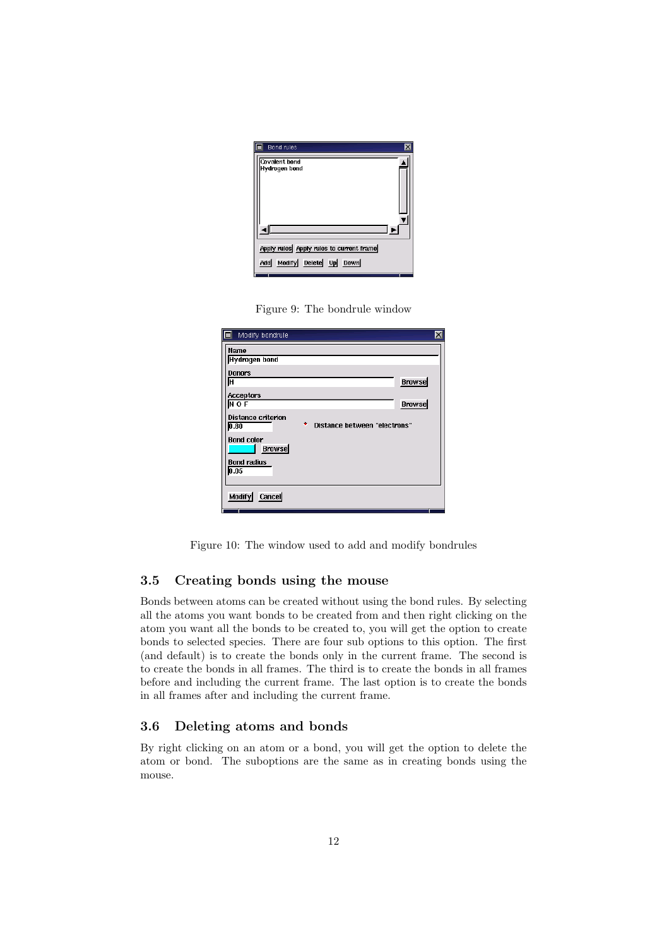

Figure 9: The bondrule window

| Modify bondrule                                                        | $\overline{\mathsf{x}}$ |
|------------------------------------------------------------------------|-------------------------|
| Name                                                                   |                         |
| <b>Hydrogen bond</b>                                                   |                         |
| <b>Donors</b>                                                          |                         |
| Iн                                                                     | <b>Browse</b>           |
| <b>Acceptors</b>                                                       |                         |
| $N$ O F                                                                | <b>Browse</b>           |
| <b>Distance criterion</b><br>٠<br>Distance between "electrons"<br>0.80 |                         |
| <b>Bond color</b><br><b>Browse</b>                                     |                         |
| <b>Bond radius</b><br>0.05                                             |                         |
|                                                                        |                         |
| Modify<br><b>Cancel</b>                                                |                         |

Figure 10: The window used to add and modify bondrules

## 3.5 Creating bonds using the mouse

Bonds between atoms can be created without using the bond rules. By selecting all the atoms you want bonds to be created from and then right clicking on the atom you want all the bonds to be created to, you will get the option to create bonds to selected species. There are four sub options to this option. The first (and default) is to create the bonds only in the current frame. The second is to create the bonds in all frames. The third is to create the bonds in all frames before and including the current frame. The last option is to create the bonds in all frames after and including the current frame.

### 3.6 Deleting atoms and bonds

By right clicking on an atom or a bond, you will get the option to delete the atom or bond. The suboptions are the same as in creating bonds using the mouse.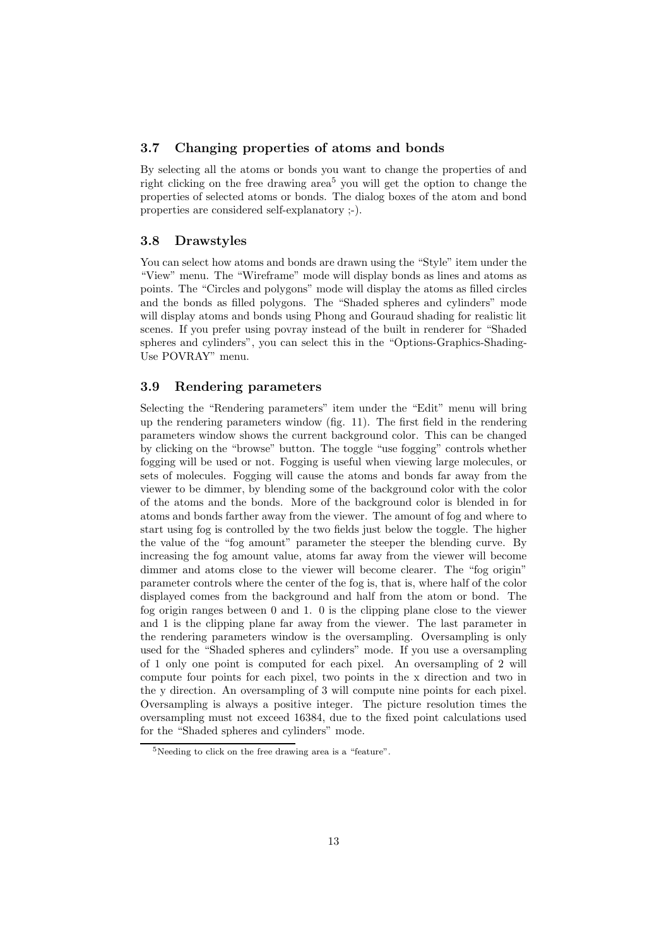#### 3.7 Changing properties of atoms and bonds

By selecting all the atoms or bonds you want to change the properties of and right clicking on the free drawing area<sup>5</sup> you will get the option to change the properties of selected atoms or bonds. The dialog boxes of the atom and bond properties are considered self-explanatory ;-).

#### 3.8 Drawstyles

You can select how atoms and bonds are drawn using the "Style" item under the "View" menu. The "Wireframe" mode will display bonds as lines and atoms as points. The "Circles and polygons" mode will display the atoms as filled circles and the bonds as filled polygons. The "Shaded spheres and cylinders" mode will display atoms and bonds using Phong and Gouraud shading for realistic lit scenes. If you prefer using povray instead of the built in renderer for "Shaded spheres and cylinders", you can select this in the "Options-Graphics-Shading-Use POVRAY" menu.

## 3.9 Rendering parameters

Selecting the "Rendering parameters" item under the "Edit" menu will bring up the rendering parameters window (fig. 11). The first field in the rendering parameters window shows the current background color. This can be changed by clicking on the "browse" button. The toggle "use fogging" controls whether fogging will be used or not. Fogging is useful when viewing large molecules, or sets of molecules. Fogging will cause the atoms and bonds far away from the viewer to be dimmer, by blending some of the background color with the color of the atoms and the bonds. More of the background color is blended in for atoms and bonds farther away from the viewer. The amount of fog and where to start using fog is controlled by the two fields just below the toggle. The higher the value of the "fog amount" parameter the steeper the blending curve. By increasing the fog amount value, atoms far away from the viewer will become dimmer and atoms close to the viewer will become clearer. The "fog origin" parameter controls where the center of the fog is, that is, where half of the color displayed comes from the background and half from the atom or bond. The fog origin ranges between 0 and 1. 0 is the clipping plane close to the viewer and 1 is the clipping plane far away from the viewer. The last parameter in the rendering parameters window is the oversampling. Oversampling is only used for the "Shaded spheres and cylinders" mode. If you use a oversampling of 1 only one point is computed for each pixel. An oversampling of 2 will compute four points for each pixel, two points in the x direction and two in the y direction. An oversampling of 3 will compute nine points for each pixel. Oversampling is always a positive integer. The picture resolution times the oversampling must not exceed 16384, due to the fixed point calculations used for the "Shaded spheres and cylinders" mode.

<sup>5</sup>Needing to click on the free drawing area is a "feature".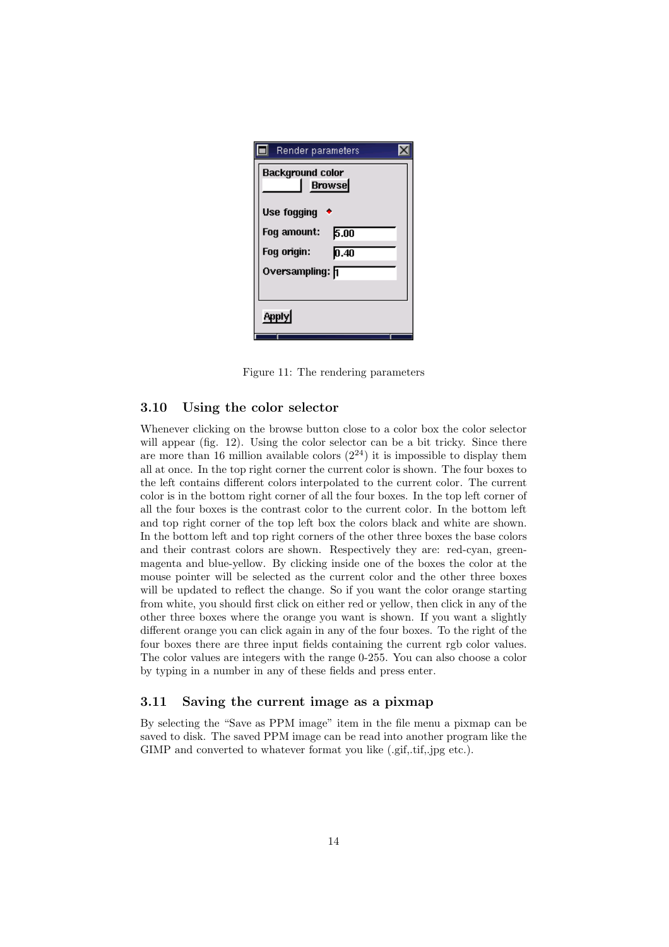| Render parameters                        |  |  |
|------------------------------------------|--|--|
| <b>Background color</b><br><b>Browse</b> |  |  |
| <b>Use fogging</b>                       |  |  |
| Fog amount:<br>5.00                      |  |  |
| Fog origin:<br>0.40                      |  |  |
| Oversampling: <mark>F</mark> i           |  |  |
|                                          |  |  |
| <b>Apply</b>                             |  |  |

Figure 11: The rendering parameters

#### 3.10 Using the color selector

Whenever clicking on the browse button close to a color box the color selector will appear (fig. 12). Using the color selector can be a bit tricky. Since there are more than 16 million available colors  $(2^{24})$  it is impossible to display them all at once. In the top right corner the current color is shown. The four boxes to the left contains different colors interpolated to the current color. The current color is in the bottom right corner of all the four boxes. In the top left corner of all the four boxes is the contrast color to the current color. In the bottom left and top right corner of the top left box the colors black and white are shown. In the bottom left and top right corners of the other three boxes the base colors and their contrast colors are shown. Respectively they are: red-cyan, greenmagenta and blue-yellow. By clicking inside one of the boxes the color at the mouse pointer will be selected as the current color and the other three boxes will be updated to reflect the change. So if you want the color orange starting from white, you should first click on either red or yellow, then click in any of the other three boxes where the orange you want is shown. If you want a slightly different orange you can click again in any of the four boxes. To the right of the four boxes there are three input fields containing the current rgb color values. The color values are integers with the range 0-255. You can also choose a color by typing in a number in any of these fields and press enter.

#### 3.11 Saving the current image as a pixmap

By selecting the "Save as PPM image" item in the file menu a pixmap can be saved to disk. The saved PPM image can be read into another program like the GIMP and converted to whatever format you like (.gif,.tif,.jpg etc.).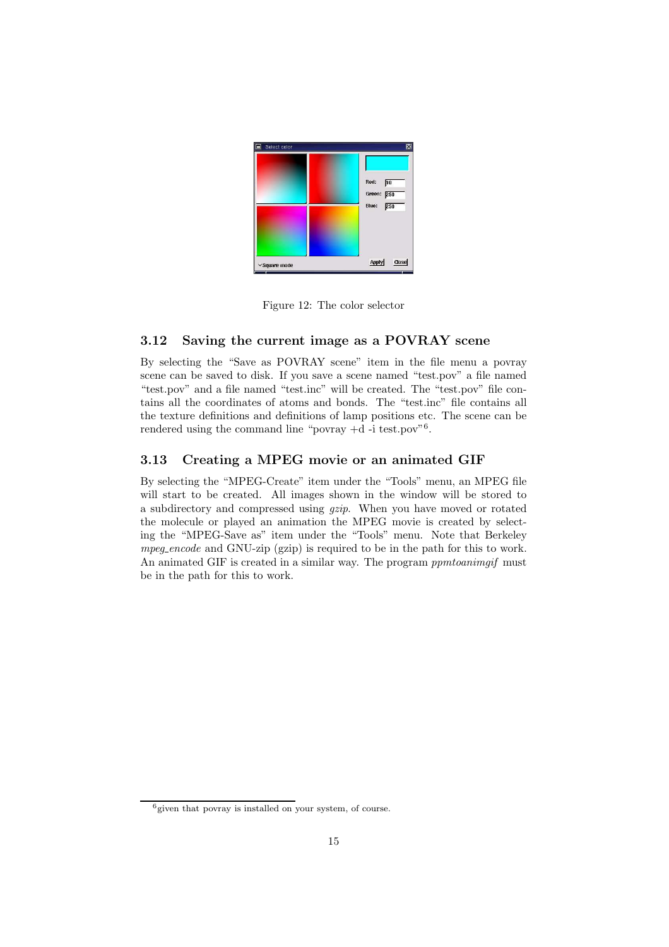

Figure 12: The color selector

## 3.12 Saving the current image as a POVRAY scene

By selecting the "Save as POVRAY scene" item in the file menu a povray scene can be saved to disk. If you save a scene named "test.pov" a file named "test.pov" and a file named "test.inc" will be created. The "test.pov" file contains all the coordinates of atoms and bonds. The "test.inc" file contains all the texture definitions and definitions of lamp positions etc. The scene can be rendered using the command line "povray  $+d$ -i test.pov"<sup>6</sup>.

## 3.13 Creating a MPEG movie or an animated GIF

By selecting the "MPEG-Create" item under the "Tools" menu, an MPEG file will start to be created. All images shown in the window will be stored to a subdirectory and compressed using gzip. When you have moved or rotated the molecule or played an animation the MPEG movie is created by selecting the "MPEG-Save as" item under the "Tools" menu. Note that Berkeley mpeg encode and GNU-zip (gzip) is required to be in the path for this to work. An animated GIF is created in a similar way. The program *ppmtoanimaif* must be in the path for this to work.

 $6$  given that povray is installed on your system, of course.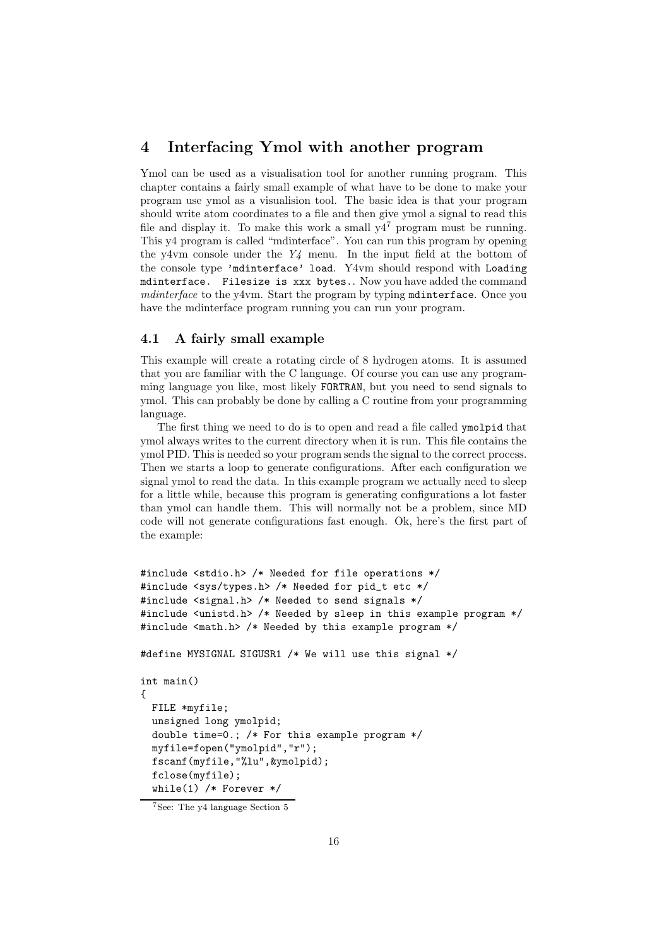# 4 Interfacing Ymol with another program

Ymol can be used as a visualisation tool for another running program. This chapter contains a fairly small example of what have to be done to make your program use ymol as a visualision tool. The basic idea is that your program should write atom coordinates to a file and then give ymol a signal to read this file and display it. To make this work a small  $y4^7$  program must be running. This y4 program is called "mdinterface". You can run this program by opening the y4vm console under the  $Y_4$  menu. In the input field at the bottom of the console type 'mdinterface' load. Y4vm should respond with Loading mdinterface. Filesize is xxx bytes.. Now you have added the command mdinterface to the y4vm. Start the program by typing mdinterface. Once you have the mdinterface program running you can run your program.

## 4.1 A fairly small example

This example will create a rotating circle of 8 hydrogen atoms. It is assumed that you are familiar with the C language. Of course you can use any programming language you like, most likely FORTRAN, but you need to send signals to ymol. This can probably be done by calling a C routine from your programming language.

The first thing we need to do is to open and read a file called ymolpid that ymol always writes to the current directory when it is run. This file contains the ymol PID. This is needed so your program sends the signal to the correct process. Then we starts a loop to generate configurations. After each configuration we signal ymol to read the data. In this example program we actually need to sleep for a little while, because this program is generating configurations a lot faster than ymol can handle them. This will normally not be a problem, since MD code will not generate configurations fast enough. Ok, here's the first part of the example:

```
#include <stdio.h> /* Needed for file operations */
#include <sys/types.h> /* Needed for pid_t etc */
#include <signal.h> /* Needed to send signals */
#include <unistd.h> /* Needed by sleep in this example program */
#include <math.h> /* Needed by this example program */
#define MYSIGNAL SIGUSR1 /* We will use this signal */
int main()
{
 FILE *myfile;
 unsigned long ymolpid;
  double time=0.; /* For this example program */
 myfile=fopen("ymolpid","r");
  fscanf(myfile,"%lu",&ymolpid);
  fclose(myfile);
  while(1) /* Forever */
```
<sup>7</sup>See: The y4 language Section 5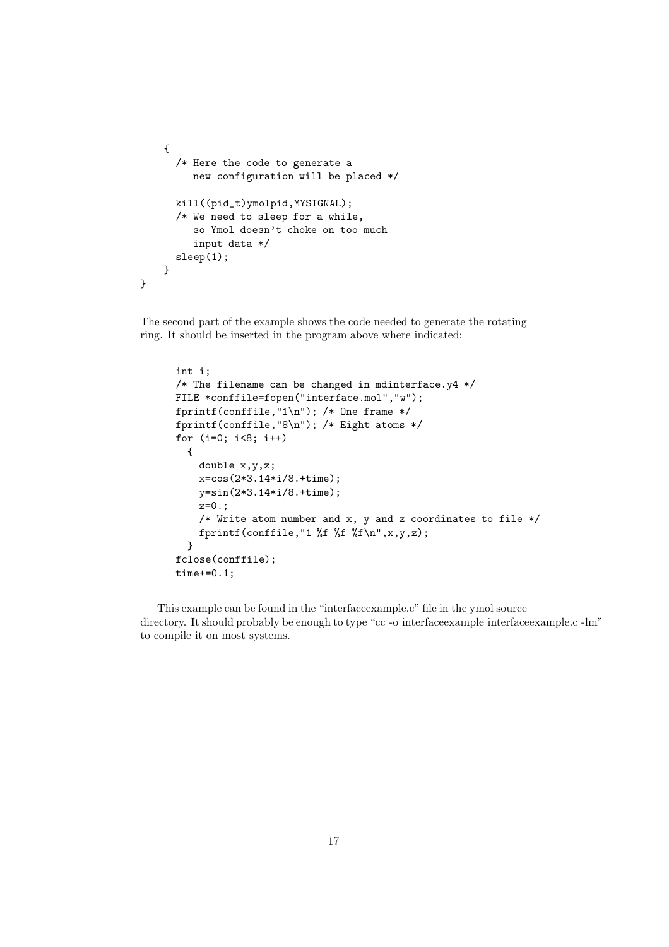```
{
      /* Here the code to generate a
         new configuration will be placed */
      kill((pid_t)ymolpid,MYSIGNAL);
      /* We need to sleep for a while,
         so Ymol doesn't choke on too much
         input data */
      sleep(1);
    }
}
```
The second part of the example shows the code needed to generate the rotating ring. It should be inserted in the program above where indicated:

```
int i;
/* The filename can be changed in mdinterface.y4 */FILE *conffile=fopen("interface.mol","w");
fprintf(conffile,"1\n"); /* One frame */
fprintf(conffile,"8\n"); /* Eight atoms */
for (i=0; i<8; i++)
  {
    double x,y,z;
    x=cos(2*3.14*i/8.+time);
    y=sin(2*3.14*i/8.+time);
    z=0.;
    /* Write atom number and x, y and z coordinates to file */
    fprintf(conffile,"1 \ f \pi \}
fclose(conffile);
time+=0.1;
```
This example can be found in the "interfaceexample.c" file in the ymol source directory. It should probably be enough to type "cc -o interfaceexample interfaceexample.c -lm" to compile it on most systems.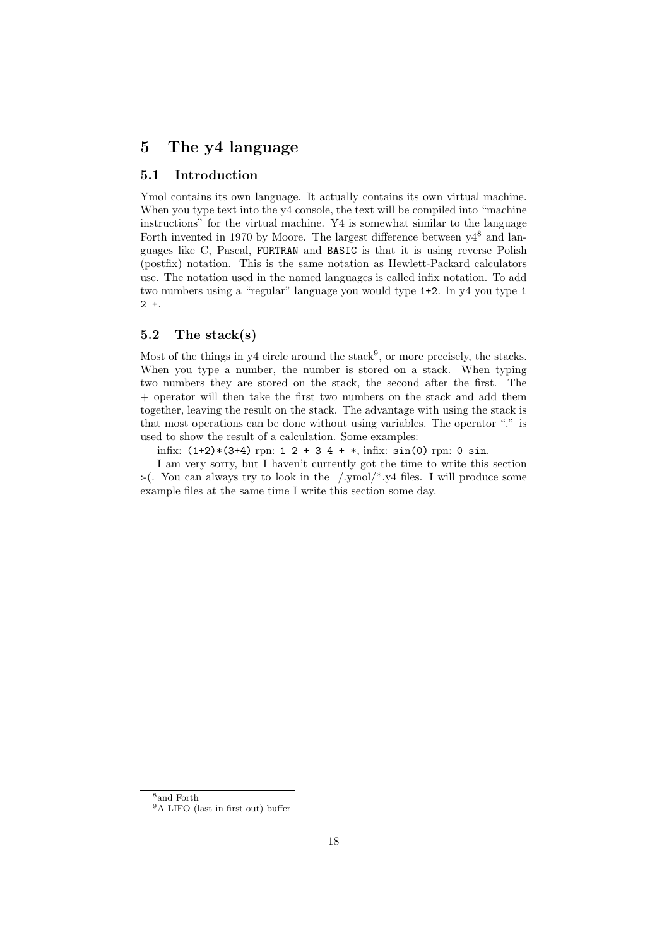# 5 The y4 language

#### 5.1 Introduction

Ymol contains its own language. It actually contains its own virtual machine. When you type text into the y4 console, the text will be compiled into "machine" instructions" for the virtual machine. Y4 is somewhat similar to the language Forth invented in 1970 by Moore. The largest difference between  $v4^8$  and languages like C, Pascal, FORTRAN and BASIC is that it is using reverse Polish (postfix) notation. This is the same notation as Hewlett-Packard calculators use. The notation used in the named languages is called infix notation. To add two numbers using a "regular" language you would type 1+2. In y4 you type 1  $2 +$ 

#### 5.2 The stack(s)

Most of the things in  $y4$  circle around the stack<sup>9</sup>, or more precisely, the stacks. When you type a number, the number is stored on a stack. When typing two numbers they are stored on the stack, the second after the first. The + operator will then take the first two numbers on the stack and add them together, leaving the result on the stack. The advantage with using the stack is that most operations can be done without using variables. The operator "." is used to show the result of a calculation. Some examples:

infix:  $(1+2)*(3+4)$  rpn:  $1 \ 2 + 3 \ 4 + *$ , infix:  $sin(0)$  rpn: 0 sin.

I am very sorry, but I haven't currently got the time to write this section :-(. You can always try to look in the /.ymol/\*.y4 files. I will produce some example files at the same time I write this section some day.

<sup>8</sup>and Forth

<sup>9</sup>A LIFO (last in first out) buffer